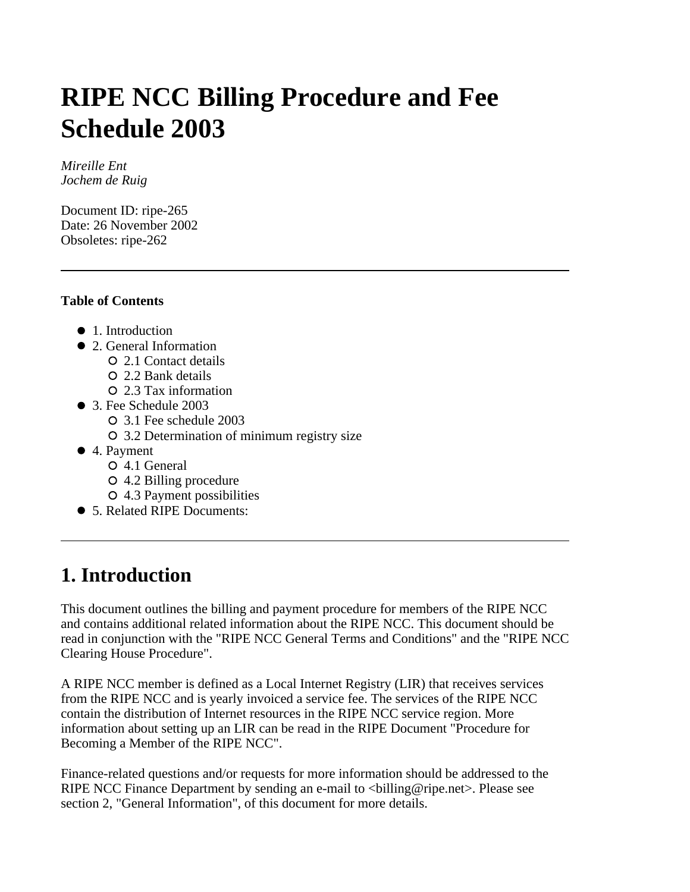# **RIPE NCC Billing Procedure and Fee Schedule 2003**

*Mireille Ent Jochem de Ruig* 

Document ID: ripe-265 Date: 26 November 2002 Obsoletes: ripe-262

### **Table of Contents**

- 1. Introduction
- 2. General Information
	- 2.1 Contact details
	- 2.2 Bank details
	- 2.3 Tax information
- 3. Fee Schedule 2003
	- 3.1 Fee schedule 2003
	- 3.2 Determination of minimum registry size
- 4. Payment
	- 4.1 General
	- 4.2 Billing procedure
	- 4.3 Payment possibilities
- 5. Related RIPE Documents:

# **1. Introduction**

This document outlines the billing and payment procedure for members of the RIPE NCC and contains additional related information about the RIPE NCC. This document should be read in conjunction with the "RIPE NCC General Terms and Conditions" and the "RIPE NCC Clearing House Procedure".

A RIPE NCC member is defined as a Local Internet Registry (LIR) that receives services from the RIPE NCC and is yearly invoiced a service fee. The services of the RIPE NCC contain the distribution of Internet resources in the RIPE NCC service region. More information about setting up an LIR can be read in the RIPE Document "Procedure for Becoming a Member of the RIPE NCC".

Finance-related questions and/or requests for more information should be addressed to the RIPE NCC Finance Department by sending an e-mail to  $\langle$ billing@ripe.net $\rangle$ . Please see section 2, "General Information", of this document for more details.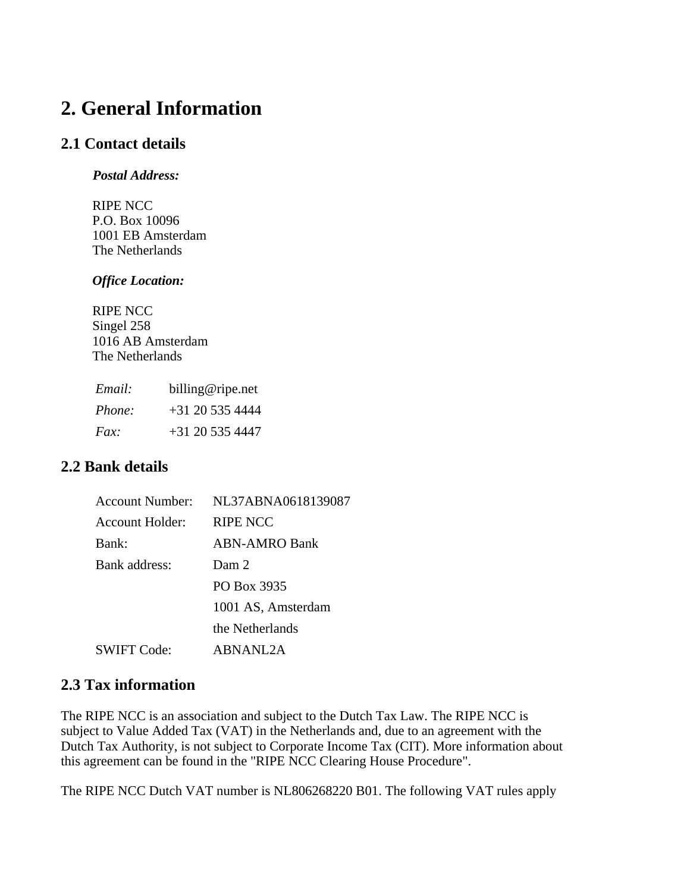# **2. General Information**

### **2.1 Contact details**

#### *Postal Address:*

RIPE NCC P.O. Box 10096 1001 EB Amsterdam The Netherlands

#### *Office Location:*

RIPE NCC Singel 258 1016 AB Amsterdam The Netherlands

| Email: | billing@ripe.net  |  |  |
|--------|-------------------|--|--|
| Phone: | $+31$ 20 535 4444 |  |  |
| Fax    | $+31$ 20 535 4447 |  |  |

### **2.2 Bank details**

| Account Number: | NL37ABNA0618139087   |  |  |
|-----------------|----------------------|--|--|
| Account Holder: | RIPE NCC             |  |  |
| Bank:           | <b>ABN-AMRO Bank</b> |  |  |
| Bank address:   | Dam 2                |  |  |
|                 | PO Box 3935          |  |  |
|                 | 1001 AS, Amsterdam   |  |  |
|                 | the Netherlands      |  |  |
| SWIFT Code:     | ABNANI 2A            |  |  |

### **2.3 Tax information**

The RIPE NCC is an association and subject to the Dutch Tax Law. The RIPE NCC is subject to Value Added Tax (VAT) in the Netherlands and, due to an agreement with the Dutch Tax Authority, is not subject to Corporate Income Tax (CIT). More information about this agreement can be found in the "RIPE NCC Clearing House Procedure".

The RIPE NCC Dutch VAT number is NL806268220 B01. The following VAT rules apply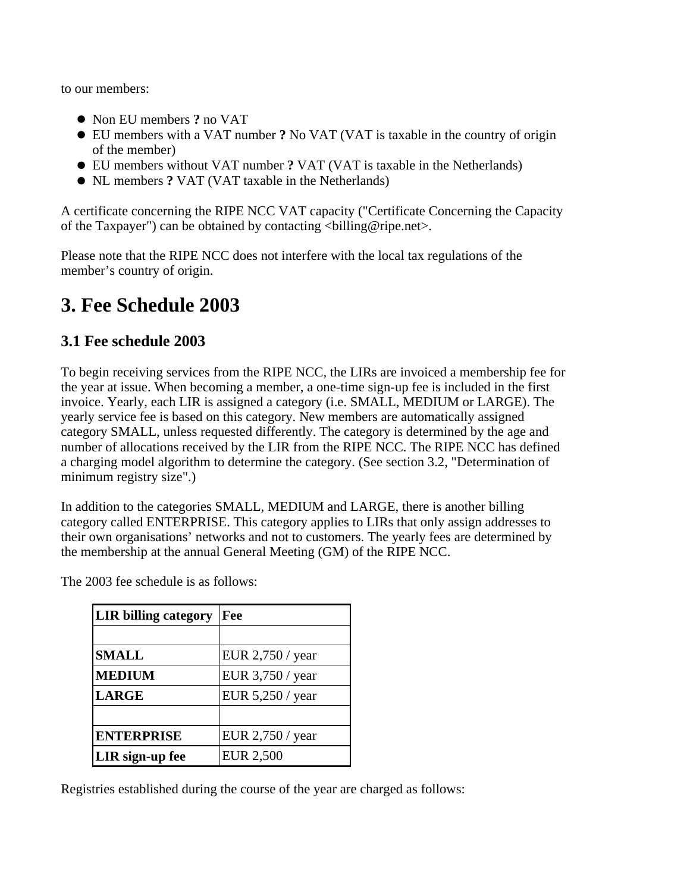to our members:

- Non EU members **?** no VAT
- EU members with a VAT number **?** No VAT (VAT is taxable in the country of origin of the member)
- EU members without VAT number **?** VAT (VAT is taxable in the Netherlands)
- NL members **?** VAT (VAT taxable in the Netherlands)

A certificate concerning the RIPE NCC VAT capacity ("Certificate Concerning the Capacity of the Taxpayer") can be obtained by contacting  $\langle$ billing@ripe.net $\rangle$ .

Please note that the RIPE NCC does not interfere with the local tax regulations of the member's country of origin.

# **3. Fee Schedule 2003**

### **3.1 Fee schedule 2003**

To begin receiving services from the RIPE NCC, the LIRs are invoiced a membership fee for the year at issue. When becoming a member, a one-time sign-up fee is included in the first invoice. Yearly, each LIR is assigned a category (i.e. SMALL, MEDIUM or LARGE). The yearly service fee is based on this category. New members are automatically assigned category SMALL, unless requested differently. The category is determined by the age and number of allocations received by the LIR from the RIPE NCC. The RIPE NCC has defined a charging model algorithm to determine the category. (See section 3.2, "Determination of minimum registry size".)

In addition to the categories SMALL, MEDIUM and LARGE, there is another billing category called ENTERPRISE. This category applies to LIRs that only assign addresses to their own organisations' networks and not to customers. The yearly fees are determined by the membership at the annual General Meeting (GM) of the RIPE NCC.

| <b>LIR billing category</b> | Fee              |  |  |
|-----------------------------|------------------|--|--|
|                             |                  |  |  |
| <b>SMALL</b>                | EUR 2,750 / year |  |  |
| <b>MEDIUM</b>               | EUR 3,750 / year |  |  |
| <b>LARGE</b>                | EUR 5,250 / year |  |  |
|                             |                  |  |  |
| <b>ENTERPRISE</b>           | EUR 2,750 / year |  |  |
| LIR sign-up fee             | <b>EUR 2,500</b> |  |  |

The 2003 fee schedule is as follows:

Registries established during the course of the year are charged as follows: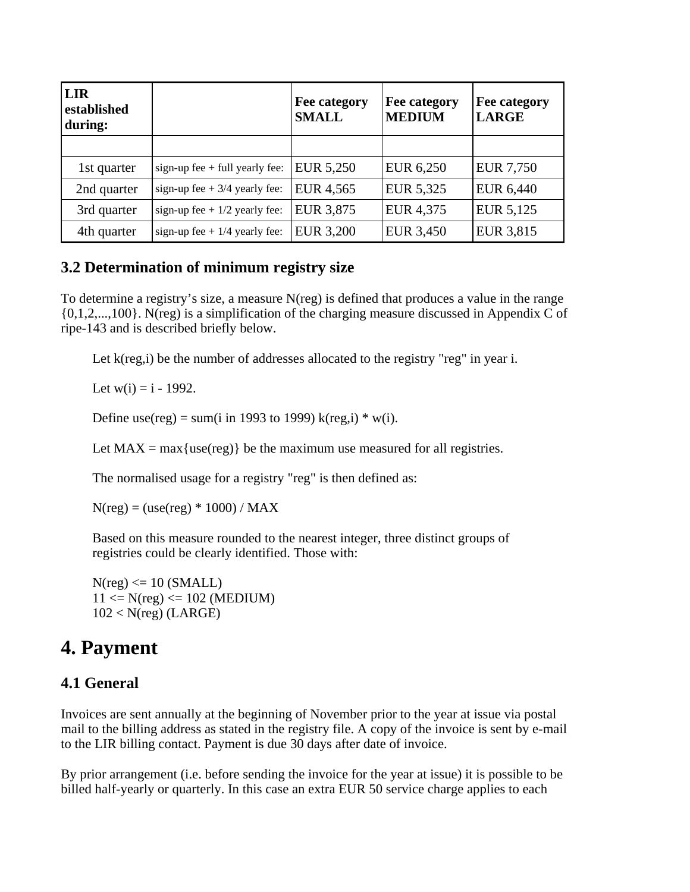| <b>LIR</b><br>established<br>during: |                                  | Fee category<br><b>SMALL</b> | Fee category<br><b>MEDIUM</b> | Fee category<br><b>LARGE</b> |
|--------------------------------------|----------------------------------|------------------------------|-------------------------------|------------------------------|
|                                      |                                  |                              |                               |                              |
| 1st quarter                          | sign-up fee $+$ full yearly fee: | EUR 5,250                    | EUR 6,250                     | <b>EUR 7,750</b>             |
| 2nd quarter                          | sign-up fee + $3/4$ yearly fee:  | EUR 4,565                    | EUR 5,325                     | EUR 6,440                    |
| 3rd quarter                          | sign-up fee + $1/2$ yearly fee:  | EUR 3,875                    | EUR 4,375                     | EUR 5,125                    |
| 4th quarter                          | sign-up fee + $1/4$ yearly fee:  | <b>EUR 3,200</b>             | EUR 3,450                     | <b>EUR 3,815</b>             |

### **3.2 Determination of minimum registry size**

To determine a registry's size, a measure N(reg) is defined that produces a value in the range {0,1,2,...,100}. N(reg) is a simplification of the charging measure discussed in Appendix C of ripe-143 and is described briefly below.

Let k(reg,i) be the number of addresses allocated to the registry "reg" in year i.

Let  $w(i) = i - 1992$ .

Define use(reg) = sum(i in 1993 to 1999) k(reg,i)  $*$  w(i).

Let  $MAX = max{use(reg)}$  be the maximum use measured for all registries.

The normalised usage for a registry "reg" is then defined as:

 $N(\text{reg}) = (\text{use}(\text{reg}) * 1000) / MAX$ 

Based on this measure rounded to the nearest integer, three distinct groups of registries could be clearly identified. Those with:

 $N(\text{reg}) \leq 10 \text{ (SMALL)}$  $11 \le N(\text{reg}) \le 102 \text{ (MEDIUM)}$  $102 < N$ (reg) (LARGE)

# **4. Payment**

### **4.1 General**

Invoices are sent annually at the beginning of November prior to the year at issue via postal mail to the billing address as stated in the registry file. A copy of the invoice is sent by e-mail to the LIR billing contact. Payment is due 30 days after date of invoice.

By prior arrangement (i.e. before sending the invoice for the year at issue) it is possible to be billed half-yearly or quarterly. In this case an extra EUR 50 service charge applies to each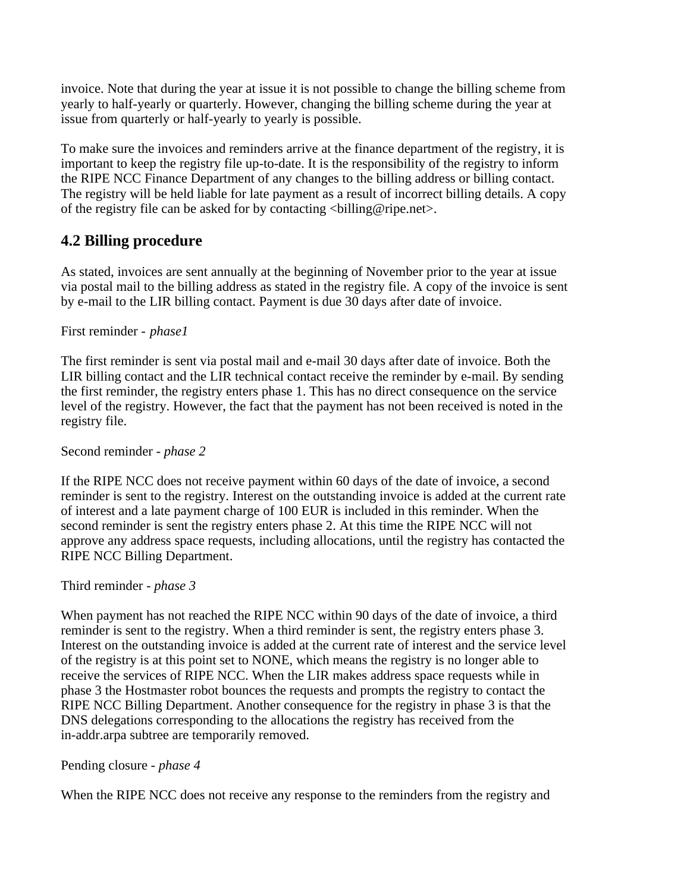invoice. Note that during the year at issue it is not possible to change the billing scheme from yearly to half-yearly or quarterly. However, changing the billing scheme during the year at issue from quarterly or half-yearly to yearly is possible.

To make sure the invoices and reminders arrive at the finance department of the registry, it is important to keep the registry file up-to-date. It is the responsibility of the registry to inform the RIPE NCC Finance Department of any changes to the billing address or billing contact. The registry will be held liable for late payment as a result of incorrect billing details. A copy of the registry file can be asked for by contacting  $\langle$ billing@ripe.net $\rangle$ .

## **4.2 Billing procedure**

As stated, invoices are sent annually at the beginning of November prior to the year at issue via postal mail to the billing address as stated in the registry file. A copy of the invoice is sent by e-mail to the LIR billing contact. Payment is due 30 days after date of invoice.

### First reminder - *phase1*

The first reminder is sent via postal mail and e-mail 30 days after date of invoice. Both the LIR billing contact and the LIR technical contact receive the reminder by e-mail. By sending the first reminder, the registry enters phase 1. This has no direct consequence on the service level of the registry. However, the fact that the payment has not been received is noted in the registry file.

### Second reminder *- phase 2*

If the RIPE NCC does not receive payment within 60 days of the date of invoice, a second reminder is sent to the registry. Interest on the outstanding invoice is added at the current rate of interest and a late payment charge of 100 EUR is included in this reminder. When the second reminder is sent the registry enters phase 2. At this time the RIPE NCC will not approve any address space requests, including allocations, until the registry has contacted the RIPE NCC Billing Department.

### Third reminder *- phase 3*

When payment has not reached the RIPE NCC within 90 days of the date of invoice, a third reminder is sent to the registry. When a third reminder is sent, the registry enters phase 3. Interest on the outstanding invoice is added at the current rate of interest and the service level of the registry is at this point set to NONE, which means the registry is no longer able to receive the services of RIPE NCC. When the LIR makes address space requests while in phase 3 the Hostmaster robot bounces the requests and prompts the registry to contact the RIPE NCC Billing Department. Another consequence for the registry in phase 3 is that the DNS delegations corresponding to the allocations the registry has received from the in-addr.arpa subtree are temporarily removed.

### Pending closure *- phase 4*

When the RIPE NCC does not receive any response to the reminders from the registry and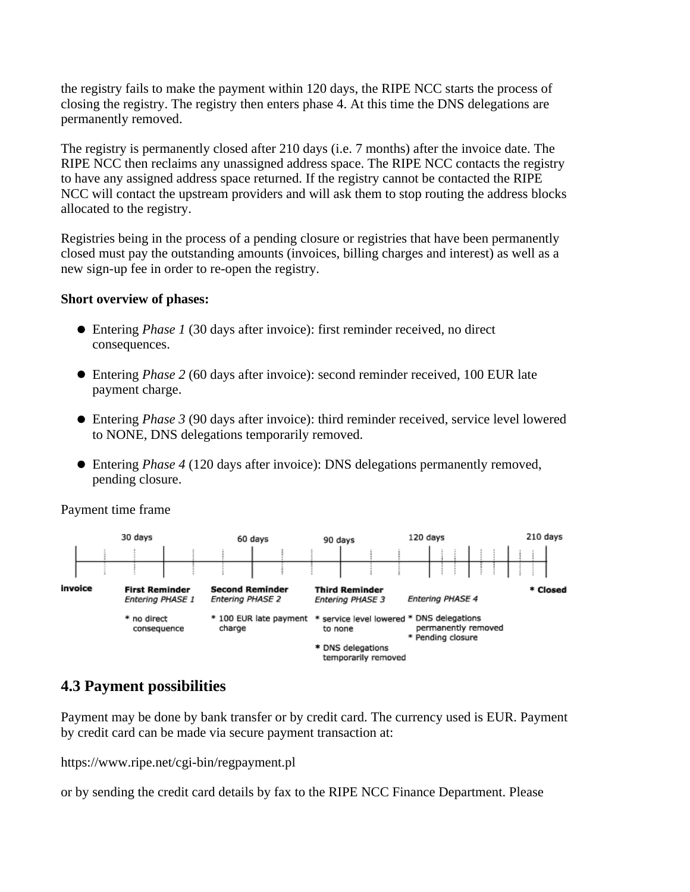the registry fails to make the payment within 120 days, the RIPE NCC starts the process of closing the registry. The registry then enters phase 4. At this time the DNS delegations are permanently removed.

The registry is permanently closed after 210 days (i.e. 7 months) after the invoice date. The RIPE NCC then reclaims any unassigned address space. The RIPE NCC contacts the registry to have any assigned address space returned. If the registry cannot be contacted the RIPE NCC will contact the upstream providers and will ask them to stop routing the address blocks allocated to the registry.

Registries being in the process of a pending closure or registries that have been permanently closed must pay the outstanding amounts (invoices, billing charges and interest) as well as a new sign-up fee in order to re-open the registry.

#### **Short overview of phases:**

- Entering *Phase 1* (30 days after invoice): first reminder received, no direct consequences.
- Entering *Phase 2* (60 days after invoice): second reminder received, 100 EUR late payment charge.
- Entering *Phase 3* (90 days after invoice): third reminder received, service level lowered to NONE, DNS delegations temporarily removed.
- Entering *Phase 4* (120 days after invoice): DNS delegations permanently removed, pending closure.

Payment time frame



### **4.3 Payment possibilities**

Payment may be done by bank transfer or by credit card. The currency used is EUR. Payment by credit card can be made via secure payment transaction at:

https://www.ripe.net/cgi-bin/regpayment.pl

or by sending the credit card details by fax to the RIPE NCC Finance Department. Please